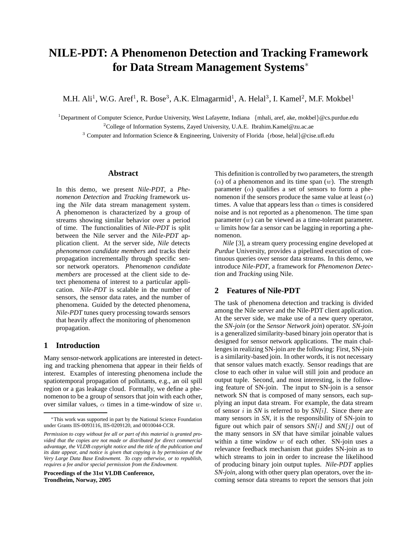# **NILE-PDT: A Phenomenon Detection and Tracking Framework for Data Stream Management Systems**<sup>∗</sup>

M.H. Ali<sup>1</sup>, W.G. Aref<sup>1</sup>, R. Bose<sup>3</sup>, A.K. Elmagarmid<sup>1</sup>, A. Helal<sup>3</sup>, I. Kamel<sup>2</sup>, M.F. Mokbel<sup>1</sup>

<sup>1</sup>Department of Computer Science, Purdue University, West Lafayette, Indiana {mhali, aref, ake, mokbel}@cs.purdue.edu <sup>2</sup>College of Information Systems, Zayed University, U.A.E. Ibrahim.Kamel@zu.ac.ae

<sup>3</sup> Computer and Information Science & Engineering, University of Florida {rbose, helal}@cise.ufl.edu

#### **Abstract**

In this demo, we present *Nile-PDT*, a *Phenomenon Detection* and *Tracking* framework using the *Nile* data stream management system. A phenomenon is characterized by a group of streams showing similar behavior over a period of time. The functionalities of *Nile-PDT* is split between the Nile server and the *Nile-PDT* application client. At the server side, *Nile* detects *phenomenon candidate members* and tracks their propagation incrementally through specific sensor network operators. *Phenomenon candidate members* are processed at the client side to detect phenomena of interest to a particular application. *Nile-PDT* is scalable in the number of sensors, the sensor data rates, and the number of phenomena. Guided by the detected phenomena, *Nile-PDT* tunes query processing towards sensors that heavily affect the monitoring of phenomenon propagation.

#### **1 Introduction**

Many sensor-network applications are interested in detecting and tracking phenomena that appear in their fields of interest. Examples of interesting phenomena include the spatiotemporal propagation of pollutants, e.g., an oil spill region or a gas leakage cloud. Formally, we define a phenomenon to be a group of sensors that join with each other, over similar values,  $\alpha$  times in a time-window of size w.

**Proceedings of the 31st VLDB Conference, Trondheim, Norway, 2005**

This definition is controlled by two parameters, the strength  $(\alpha)$  of a phenomenon and its time span  $(w)$ . The strength parameter  $(\alpha)$  qualifies a set of sensors to form a phenomenon if the sensors produce the same value at least  $(\alpha)$ times. A value that appears less than  $\alpha$  times is considered noise and is not reported as a phenomenon. The time span parameter  $(w)$  can be viewed as a time-tolerant parameter.  $w$  limits how far a sensor can be lagging in reporting a phenomenon.

*Nile* [3], a stream query processing engine developed at *Purdue* University, provides a pipelined execution of continuous queries over sensor data streams. In this demo, we introduce *Nile-PDT*, a framework for *Phenomenon Detection* and *Tracking* using Nile.

# **2 Features of Nile-PDT**

The task of phenomena detection and tracking is divided among the Nile server and the Nile-PDT client application. At the server side, we make use of a new query operator, the *SN-join* (or the *Sensor Network join*) operator. *SN-join* is a generalized similarity-based binary join operator that is designed for sensor network applications. The main challengesin realizing SN-join are the following: First, SN-join is a similarity-based join. In other words, it is not necessary that sensor values match exactly. Sensor readings that are close to each other in value will still join and produce an output tuple. Second, and most interesting, is the following feature of SN-join. The input to SN-join is a sensor network SN that is composed of many sensors, each supplying an input data stream. For example, the data stream of sensor i in *SN* is referred to by *SN[*i*]*. Since there are many sensors in *SN*, it is the responsibility of SN-join to figure out which pair of sensors *SN[*i*]* and *SN[*j*]* out of the many sensors in *SN* that have similar joinable values within a time window  $w$  of each other. SN-join uses a relevance feedback mechanism that guides SN-join as to which streams to join in order to increase the likelihood of producing binary join output tuples. *Nile-PDT* applies *SN-join*, along with other query plan operators, over the incoming sensor data streams to report the sensors that join

<sup>∗</sup>This work was supported in part by the National Science Foundation under Grants IIS-0093116, IIS-0209120, and 0010044-CCR.

*Permission to copy without fee all or part of this material is granted provided that the copies are not made or distributed for direct commercial advantage, the VLDB copyright notice and the title of the publication and its date appear, and notice is given that copying is by permission of the Very Large Data Base Endowment. To copy otherwise, or to republish, requires a fee and/or special permission from the Endowment.*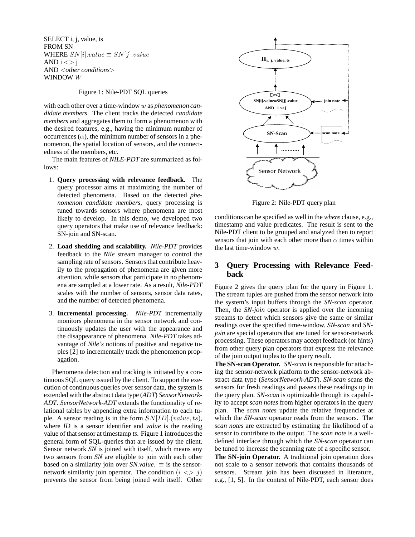SELECT i, j, value, ts FROM SN WHERE  $SN[i].value \equiv SN[j].value$ AND  $i \ll$   $j$ AND <*other conditions*> WINDOW W

#### Figure 1: Nile-PDT SQL queries

with each other over a time-window w as *phenomenon candidate members*. The client tracks the detected *candidate members* and aggregates them to form a phenomenon with the desired features, e.g., having the minimum number of occurrences  $(\alpha)$ , the minimum number of sensors in a phenomenon, the spatial location of sensors, and the connectedness of the members, etc.

The main features of *NILE-PDT* are summarized as follows:

- 1. **Query processing with relevance feedback.** The query processor aims at maximizing the number of detected phenomena. Based on the detected *phenomenon candidate members*, query processing is tuned towards sensors where phenomena are most likely to develop. In this demo, we developed two query operators that make use of relevance feedback: SN-join and SN-scan.
- 2. **Load shedding and scalability.** *Nile-PDT* provides feedback to the *Nile* stream manager to control the sampling rate of sensors. Sensors that contribute heavily to the propagation of phenomena are given more attention, while sensors that participate in no phenomena are sampled at a lower rate. As a result, *Nile-PDT* scales with the number of sensors, sensor data rates, and the number of detected phenomena.
- 3. **Incremental processing.** *Nile-PDT* incrementally monitors phenomena in the sensor network and continuously updates the user with the appearance and the disappearance of phenomena. *Nile-PDT* takes advantage of *Nile's* notions of positive and negative tuples [2] to incrementally track the phenomenon propagation.

Phenomena detection and tracking is initiated by a continuous SQL query issued by the client. To support the execution of continuous queries over sensor data, the system is extended with the abstract data type (*ADT*) *SensorNetwork-ADT*. *SensorNetwork-ADT* extends the functionality of relational tables by appending extra information to each tuple. A sensor reading is in the form  $SN[ID]$ . (value, ts), where *ID* is a sensor identifier and *value* is the reading value of that sensor at timestamp *ts*. Figure 1 introduces the general form of SQL-queries that are issued by the client. Sensor network *SN* is joined with itself, which means any two sensors from *SN* are eligible to join with each other based on a similarity join over *SN.value*.  $\equiv$  is the sensornetwork similarity join operator. The condition  $(i \leq j)$ prevents the sensor from being joined with itself. Other



Figure 2: Nile-PDT query plan

conditions can be specified as well in the *where* clause, e.g., timestamp and value predicates. The result is sent to the Nile-PDT client to be grouped and analyzed then to report sensors that join with each other more than  $\alpha$  times within the last time-window w.

# **3 Query Processing with Relevance Feedback**

Figure 2 gives the query plan for the query in Figure 1. The stream tuples are pushed from the sensor network into the system's input buffers through the *SN-scan* operator. Then, the *SN-join* operator is applied over the incoming streams to detect which sensors give the same or similar readings over the specified time-window. *SN-scan* and *SNjoin* are special operators that are tuned for sensor-network processing. These operators may accept feedback (or hints) from other query plan operators that express the relevance of the join output tuples to the query result.

**The SN-scan Operator.** *SN-scan* is responsible for attaching the sensor-network platform to the sensor-network abstract data type (*SensorNetwork-ADT*). *SN-scan* scans the sensors for fresh readings and passes these readings up in the query plan. *SN-scan* is optimizable through its capability to accept *scan notes* from higher operators in the query plan. The *scan notes* update the relative frequencies at which the *SN-scan* operator reads from the sensors. The *scan notes* are extracted by estimating the likelihood of a sensor to contribute to the output. The *scan note* is a welldefined interface through which the *SN-scan* operator can be tuned to increase the scanning rate of a specific sensor.

**The SN-join Operator.** A traditional join operation does not scale to a sensor network that contains thousands of sensors. Stream join has been discussed in literature, e.g., [1, 5]. In the context of Nile-PDT, each sensor does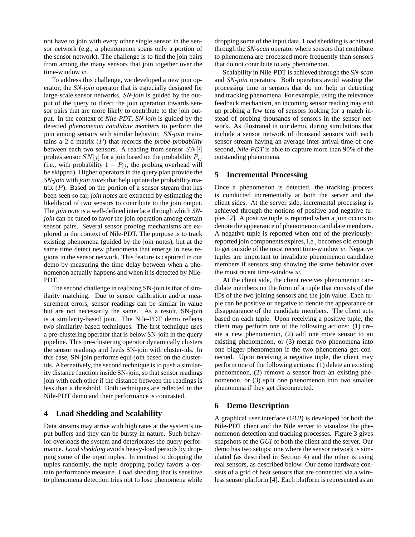not have to join with every other single sensor in the sensor network (e.g., a phenomenon spans only a portion of the sensor network). The challenge is to find the join pairs from among the many sensors that join together over the time-window w.

To address this challenge, we developed a new join operator, the *SN-join* operator that is especially designed for large-scale sensor networks. *SN-join* is guided by the output of the query to direct the join operation towards sensor pairs that are more likely to contribute to the join output. In the context of *Nile-PDT*, *SN-join* is guided by the detected *phenomenon candidate members* to perform the join among sensors with similar behavior. *SN-join* maintains a 2-d matrix (P) that records the *probe probability* between each two sensors. A reading from sensor  $SN[i]$ probes sensor  $SN[j]$  for a join based on the probability  $P_{ij}$ (i.e., with probability  $1 - P_{ij}$ , the probing overhead will be skipped). Higher operators in the query plan provide the *SN-join* with *join notes* that help update the probability matrix  $(P)$ . Based on the portion of a sensor stream that has been seen so far, *join notes* are extracted by estimating the likelihood of two sensors to contribute to the join output. The *join note* is a well-defined interface through which *SNjoin* can be tuned to favor the join operation among certain sensor pairs. Several sensor probing mechanisms are explored in the context of Nile-PDT. The purpose is to track existing phenomena (guided by the join notes), but at the same time detect new phenomena that emerge in new regions in the sensor network. This feature is captured in our demo by measuring the time delay between when a phenomenon actually happens and when it is detected by Nile-PDT.

The second challenge in realizing SN-join is that of similarity matching. Due to sensor calibration and/or measurement errors, sensor readings can be similar in value but are not necessarily the same. As a result, SN-join is a similarity-based join. The Nile-PDT demo reflects two similarity-based techniques. The first technique uses a pre-clustering operator that is below SN-join in the query pipeline. This pre-clustering operator dynamically clusters the sensor readings and feeds SN-join with cluster-ids. In this case, SN-join performs equi-join based on the clusterids. Alternatively, the second technique is to push a similarity distance function inside SN-join, so that sensor readings join with each other if the distance between the readings is less than a threshold. Both techniques are reflected in the Nile-PDT demo and their performance is contrasted.

## **4 Load Shedding and Scalability**

Data streams may arrive with high rates at the system's input buffers and they can be bursty in nature. Such behavior overloads the system and deteriorates the query performance. *Load shedding* avoids heavy-load periods by dropping some of the input tuples. In contrast to dropping the tuples randomly, the tuple dropping policy favors a certain performance measure. Load shedding that is sensitive to phenomena detection tries not to lose phenomena while dropping some of the input data. Load shedding is achieved through the *SN-scan* operator where sensors that contribute to phenomena are processed more frequently than sensors that do not contribute to any phenomenon.

Scalability in Nile-PDT is achieved through the *SN-scan* and *SN-join* operators. Both operators avoid wasting the processing time in sensors that do not help in detecting and tracking phenomena. For example, using the relevance feedback mechanism, an incoming sensor reading may end up probing a few tens of sensors looking for a match instead of probing thousands of sensors in the sensor network. As illustrated in our demo, during simulations that include a sensor network of thousand sensors with each sensor stream having an average inter-arrival time of one second, *Nile-PDT* is able to capture more than 90% of the outstanding phenomena.

# **5 Incremental Processing**

Once a phenomenon is detected, the tracking process is conducted incrementally at both the server and the client sides. At the server side, incremental processing is achieved through the notions of positive and negative tuples [2]. A positive tuple is reported when a join occurs to denote the appearance of phenomenon candidate members. A negative tuple is reported when one of the previouslyreported join components expires, i.e., becomes old enough to get outside of the most recent time-window  $w$ . Negative tuples are important to invalidate phenomenon candidate members if sensors stop showing the same behavior over the most recent time-window w.

At the client side, the client receives phenomenon candidate members on the form of a tuple that consists of the IDs of the two joining sensors and the join value. Each tuple can be positive or negative to denote the appearance or disappearance of the candidate members. The client acts based on each tuple. Upon receiving a positive tuple, the client may perform one of the following actions: (1) create a new phenomenon, (2) add one more sensor to an existing phenomenon, or (3) merge two phenomena into one bigger phenomenon if the two phenomena get connected. Upon receiving a negative tuple, the client may perform one of the following actions: (1) delete an existing phenomenon, (2) remove a sensor from an existing phenomenon, or (3) split one phenomenon into two smaller phenomena if they get disconnected.

## **6 Demo Description**

A graphical user interface (*GUI*) is developed for both the Nile-PDT client and the Nile server to visualize the phenomenon detection and tracking processes. Figure 3 gives snapshots of the *GUI* of both the client and the server. Our demo has two setups: one where the sensor network is simulated (as described in Section 4) and the other is using real sensors, as described below. Our demo hardware consists of a grid of heat sensors that are connected via a wireless sensor platform [4]. Each platform is represented as an